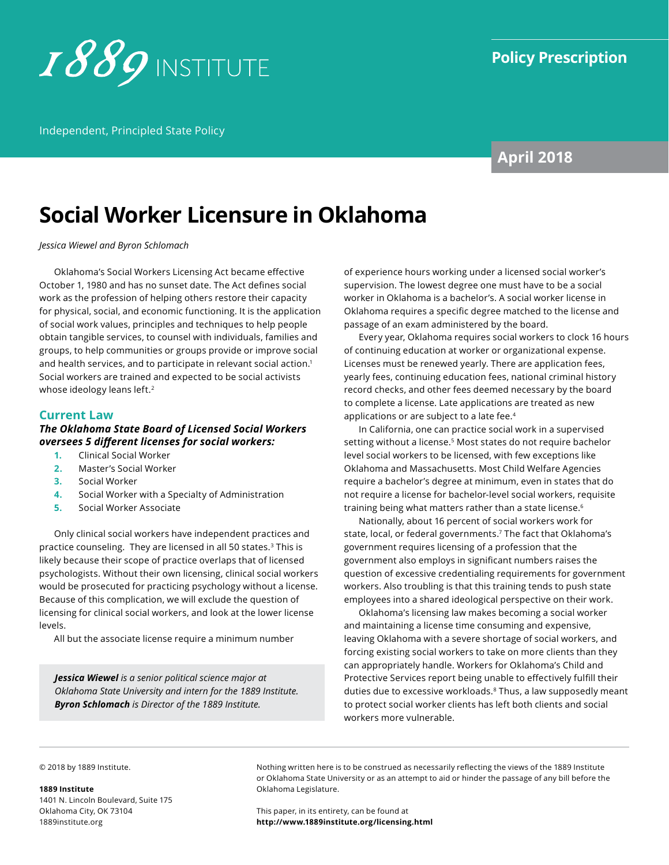

Independent, Principled State Policy

## **April 2018**

# **Social Worker Licensure in Oklahoma**

*Jessica Wiewel and Byron Schlomach*

Oklahoma's Social Workers Licensing Act became effective October 1, 1980 and has no sunset date. The Act defines social work as the profession of helping others restore their capacity for physical, social, and economic functioning. It is the application of social work values, principles and techniques to help people obtain tangible services, to counsel with individuals, families and groups, to help communities or groups provide or improve social and health services, and to participate in relevant social action.<sup>1</sup> Social workers are trained and expected to be social activists whose ideology leans left.<sup>2</sup>

#### **Current Law**

#### *The Oklahoma State Board of Licensed Social Workers oversees 5 different licenses for social workers:*

- **1.** Clinical Social Worker
- **2.** Master's Social Worker
- **3.** Social Worker
- **4.** Social Worker with a Specialty of Administration
- **5.** Social Worker Associate

Only clinical social workers have independent practices and practice counseling. They are licensed in all 50 states.3 This is likely because their scope of practice overlaps that of licensed psychologists. Without their own licensing, clinical social workers would be prosecuted for practicing psychology without a license. Because of this complication, we will exclude the question of licensing for clinical social workers, and look at the lower license levels.

All but the associate license require a minimum number

*Jessica Wiewel is a senior political science major at Oklahoma State University and intern for the 1889 Institute. Byron Schlomach is Director of the 1889 Institute.* 

of experience hours working under a licensed social worker's supervision. The lowest degree one must have to be a social worker in Oklahoma is a bachelor's. A social worker license in Oklahoma requires a specific degree matched to the license and passage of an exam administered by the board.

Every year, Oklahoma requires social workers to clock 16 hours of continuing education at worker or organizational expense. Licenses must be renewed yearly. There are application fees, yearly fees, continuing education fees, national criminal history record checks, and other fees deemed necessary by the board to complete a license. Late applications are treated as new applications or are subject to a late fee.<sup>4</sup>

In California, one can practice social work in a supervised setting without a license.<sup>5</sup> Most states do not require bachelor level social workers to be licensed, with few exceptions like Oklahoma and Massachusetts. Most Child Welfare Agencies require a bachelor's degree at minimum, even in states that do not require a license for bachelor-level social workers, requisite training being what matters rather than a state license.<sup>6</sup>

Nationally, about 16 percent of social workers work for state, local, or federal governments.7 The fact that Oklahoma's government requires licensing of a profession that the government also employs in significant numbers raises the question of excessive credentialing requirements for government workers. Also troubling is that this training tends to push state employees into a shared ideological perspective on their work.

Oklahoma's licensing law makes becoming a social worker and maintaining a license time consuming and expensive, leaving Oklahoma with a severe shortage of social workers, and forcing existing social workers to take on more clients than they can appropriately handle. Workers for Oklahoma's Child and Protective Services report being unable to effectively fulfill their duties due to excessive workloads.8 Thus, a law supposedly meant to protect social worker clients has left both clients and social workers more vulnerable.

© 2018 by 1889 Institute.

#### **1889 Institute**

1401 N. Lincoln Boulevard, Suite 175 Oklahoma City, OK 73104 [1889institute.org](http://www.1889institute.org)

Nothing written here is to be construed as necessarily reflecting the views of the 1889 Institute or Oklahoma State University or as an attempt to aid or hinder the passage of any bill before the Oklahoma Legislature.

This paper, in its entirety, can be found at **<http://www.1889institute.org/licensing.html>**